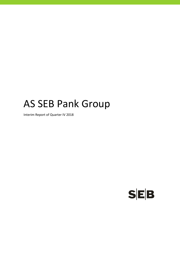# AS SEB Pank Group

Interim Report of Quarter IV 2018

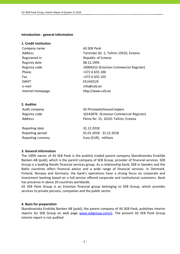**Introduction - general information** 

#### **1. Credit institution**

| Company name      | AS SEB Pank                             |
|-------------------|-----------------------------------------|
| Address           | Tornimäe Str. 2, Tallinn 15010, Estonia |
| Registered in     | Republic of Estonia                     |
| Registry date     | 08.12.1995                              |
| Registry code     | 10004252 (Estonian Commercial Register) |
| Phone             | +372 6 655 100                          |
| Fax               | +372 6 655 102                          |
| <b>SWIFT</b>      | EEUHEE2X                                |
| e-mail            | info@seb.ee                             |
| Internet homepage | http://www.seb.ee                       |

#### **2. Auditor**

| Audit company  | AS PricewaterhouseCoopers               |
|----------------|-----------------------------------------|
| Registry code  | 10142876 (Estonian Commercial Register) |
| <b>Address</b> | Pärnu Str. 15, 10141 Tallinn, Estonia   |
| Reporting date | 31.12.2018                              |

Reporting period 01.01.2018 - 31.12.2018 Reporting currency Euro (EUR), millions

#### **3. General information**

The 100% owner of AS SEB Pank is the publicly traded parent company Skandinaviska Enskilda Banken AB (publ), which is the parent company of SEB Group, provider of financial services. SEB Group is a leading Nordic financial services group. As a relationship bank, SEB in Sweden and the Baltic countries offers financial advice and a wide range of financial services. In Denmark, Finland, Norway and Germany, the bank's operations have a strong focus on corporate and investment banking based on a full-service offered corporate and institutional customers. Bank has presence in about 20 countries worldwide.

AS SEB Pank Group is an Estonian financial group belonging to SEB Group, which provides services to private persons, companies and the public sector.

#### **4. Basis for preparation**

Skandinaviska Enskilda Banken AB (publ), the parent company of AS SEB Pank, publishes interim reports for SEB Group on web page www.sebgroup.com/ir. The present AS SEB Pank Group interim report is not audited.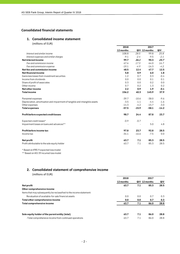#### **Consolidated financial statements**

#### **1. Consolidated income statement**

(millions of EUR)

|                                                                             | 2018      |         | 2017          |         |
|-----------------------------------------------------------------------------|-----------|---------|---------------|---------|
|                                                                             | 12 months |         | QIV 12 months | QIV     |
| Interest and similar income                                                 | 108.8     | 28.5    | 99.8          | 25.8    |
| Interest expenses and similar charges                                       | $-9.1$    | $-2.4$  | $-9.5$        | $-2.1$  |
| <b>Netinterestincome</b>                                                    | 99.7      | 26.1    | 90.3          | 23.7    |
| Fee and commission income                                                   | 67.6      | 17.3    | 64.0          | 16.7    |
| Fee and commission expense                                                  | $-19.1$   | $-4.9$  | $-16.3$       | $-4.2$  |
| Net fee and commission income                                               | 48.5      | 12.4    | 47.7          | 12.5    |
| Net financial income                                                        | 5.8       | 0.9     | 6.0           | 1.8     |
| Gains less losses from investment securities                                | 1.2       | 0.7     | 0.3           | $-0.4$  |
| Income from dividends                                                       | 0.0       | 0.0     | 0.1           | 0.1     |
| Share of profit of associates                                               | 0.3       | 0.0     | 0.2           | 0.0     |
| Other income                                                                | 0.7       | 0.2     | 1.3           | 0.2     |
| Net other income                                                            | 2.2       | 0.9     | 1.9           | $-0.1$  |
| <b>Total income</b>                                                         | 156.2     | 40.3    | 145.9         | 37.9    |
| Personnel expenses                                                          | $-39.7$   | $-10.6$ | $-38.0$       | $-9.6$  |
| Depreciation, amortisation and impairment of tangible and intangible assets | $-3.5$    | $-1.1$  | $-4.4$        | $-1.6$  |
| Other expenses                                                              | $-14.3$   | $-4.2$  | $-15.7$       | $-3.0$  |
| <b>Total expenses</b>                                                       | $-57.5$   | $-15.9$ | $-58.1$       | $-14.2$ |
| Profit before expected credit losses                                        | 98.7      | 24.4    | 87.8          | 23.7    |
| Expected credit losses*                                                     | $-0.9$    | $-0.7$  |               |         |
| Impairment losses on loans and advances**                                   |           |         | 5.0           | 4.8     |
| Profit before income tax                                                    | 97.8      | 23.7    | 92.8          | 28.5    |
| Income tax                                                                  | $-34.1$   | $-16.6$ | $-7.5$        | 0.0     |
| Netprofit                                                                   | 63.7      | 7.1     | 85.3          | 28.5    |
| Profit attributable to the sole equity holder                               | 63.7      | 7.1     | 85.3          | 28.5    |
|                                                                             |           |         |               |         |

\* Based on IFRS 9 expected loss model

\*\* Based on IAS 39 incurred loss model

#### **2. Consolidated statement of comprehensive income**

| (millions of EUR) |
|-------------------|
|-------------------|

|                                                                      | 2018      |     | 2017          |      |
|----------------------------------------------------------------------|-----------|-----|---------------|------|
|                                                                      | 12 months |     | QIV 12 months | QIV  |
| <b>Net profit</b>                                                    | 63.7      | 7.1 | 85.3          | 28.5 |
| Other comprehensive income                                           |           |     |               |      |
| Items that may subsequently be reclassified to the income statement: |           |     |               |      |
| Revaluation of available-for-sale financial assets                   | 0.0       | 0.0 | 0.7           | 0.3  |
| Total other comprehensive income                                     | 0.0       | 0.0 | 0.7           | 0.3  |
| Total comprehensive income                                           | 63.7      | 7.1 | 86.0          | 28.8 |
| Sole equity holder of the parent entity (total)                      | 63.7      | 7.1 | 86.0          | 28.8 |
| - Total comprehensive income from continued operations               | 63.7      | 7.1 | 86.0          | 28.8 |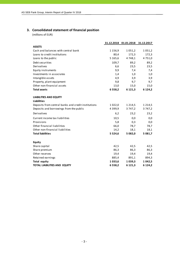# **3. Consolidated statement of financial position**

(millions of EUR)

|                                                     |             | 31.12.2018 01.01.2018 | 31.12.2017  |
|-----------------------------------------------------|-------------|-----------------------|-------------|
| <b>ASSETS</b>                                       |             |                       |             |
| Cash and balances with central bank                 | 1 1 5 6, 9  | 1 0 5 1 , 2           | 1 0 5 1 , 2 |
| Loans to credit institutions                        | 80,4        | 172,3                 | 172,3       |
| Loans to the public                                 | 5 1 6 5 , 6 | 4 748,1               | 4751,0      |
| Debt securities                                     | 109,7       | 89,2                  | 89,2        |
| Derivatives                                         | 6,6         | 23,5                  | 23,5        |
| Equity instruments                                  | 9,9         | 7,4                   | 7,4         |
| Investments in associates                           | 1,4         | 1,0                   | 1,0         |
| Intangible assets                                   | 4,9         | 3,9                   | 3,9         |
| Property, plant equipment                           | 9,8         | 9,7                   | 9,7         |
| Other non-financial assets                          | 13,0        | 15,0                  | 15,0        |
| <b>Total assets</b>                                 | 6 5 5 8 , 2 | 6 121,3               | 6 1 2 4 , 2 |
| <b>LIABILITIES AND EQUITY</b>                       |             |                       |             |
| <b>Liabilities</b>                                  |             |                       |             |
| Deposits from central banks and credit institutions | 1 0 2 2 , 0 | 1 2 1 4 , 5           | 1 2 1 4 , 5 |
| Deposits and borrowings from the public             | 4 3 9 9, 9  | 3 747,2               | 3 747,2     |
| Derivatives                                         | 6,2         | 23,2                  | 23,2        |
| Current income tax liabilities                      | 10,5        | 0,0                   | 0,0         |
| Provisions                                          | 5,8         | 0,3                   | 0,0         |
| Other financial liabilities                         | 66,0        | 78,7                  | 78,7        |
| Other non-financial liabilities                     | 14,2        | 18,1                  | 18,1        |
| <b>Total liabilities</b>                            | 5 5 2 4,6   | 5 082,0               | 5 081,7     |
| <b>Equity</b>                                       |             |                       |             |
| Share capital                                       | 42,5        | 42,5                  | 42,5        |
| Share premium                                       | 86,3        | 86,3                  | 86,3        |
| Other reserves                                      | 19,4        | 19,4                  | 19,4        |
| Retained earnings                                   | 885,4       | 891,1                 | 894,3       |
| <b>Total equity</b>                                 | 1033,6      | 1 0 3 9 , 3           | 1 0 4 2 , 5 |
| <b>TOTAL LIABILITIES AND EQUITY</b>                 | 6 5 5 8,2   | 6 121,3               | 6 124,2     |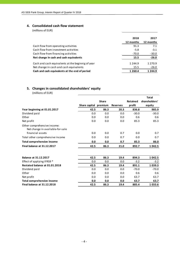#### **4. Consolidated cash flow statement**

(millions of EUR)

|                                                                                              | 2018<br>12 months  | 2017<br>12 months     |
|----------------------------------------------------------------------------------------------|--------------------|-----------------------|
| Cash flow from operating activities                                                          | 91.3               | 7.1                   |
| Cash flow from investment activities                                                         | $-5.8$             | $-3.1$                |
| Cash flow from financing activities                                                          | -70.0              | $-30.0$               |
| Net change in cash and cash equivalents                                                      | 15.5               | $-26.0$               |
| Cash and cash equivalents at the beginnig of year<br>Net change in cash and cash equivalents | 1 2 4 4 .9<br>15.5 | 1 2 7 0 .9<br>$-26.0$ |
| Cash and cash equivalents at the end of period                                               | 1 2 6 0 . 4        | 1 2 4 4 .9            |

# **5. Changes in consolidated shareholders' equity**

(millions of EUR)

|                                                                 |                       |              |                 |                 | <b>Total</b>  |
|-----------------------------------------------------------------|-----------------------|--------------|-----------------|-----------------|---------------|
|                                                                 |                       | <b>Share</b> |                 | <b>Retained</b> | shareholders' |
|                                                                 | Share capital premium |              | <b>Reserves</b> | profit          | equity        |
| Year beginning at 01.01.2017                                    | 42.5                  | 86.3         | 20.3            | 836.8           | 985.9         |
| Dividend paid                                                   | 0.0                   | 0.0          | 0.0             | $-30.0$         | $-30.0$       |
| Other                                                           | 0.0                   | 0.0          | 0.0             | 0.6             | 0.6           |
| Net profit                                                      | 0.0                   | 0.0          | 0.0             | 85.3            | 85.3          |
| Other comprehensive income:<br>Net change in available-for-sale |                       |              |                 |                 |               |
| financial assets                                                | 0.0                   | 0.0          | 0.7             | 0.0             | 0.7           |
| Total other comprehensive income                                | 0.0                   | 0.0          | 0.7             | 0.0             | 0.7           |
| <b>Total comprehensive income</b>                               | 0.0                   | 0.0          | 0.7             | 85.3            | 86.0          |
| <b>Final balance at 31.12.2017</b>                              | 42.5                  | 86.3         | 21.0            | 892.7           | 1 042.5       |
| <b>Balance at 31.12.2017</b>                                    | 42.5                  | 86.3         | 19.4            | 894.3           | 1 042.5       |
| Effect of applying IFRS9 *                                      | 0.0                   | 0.0          | 0.0             | $-3.2$          | $-3.2$        |
| Restated balance at 01.01.2018                                  | 42.5                  | 86.3         | 19.4            | 891.1           | 1 039.3       |
| Dividend paid                                                   | 0.0                   | 0.0          | 0.0             | $-70.0$         | $-70.0$       |
| Other                                                           | 0.0                   | 0.0          | 0.0             | 0.6             | 0.6           |
| Net profit                                                      | 0.0                   | 0.0          | 0.0             | 63.7            | 63.7          |
| <b>Total comprehensive income</b>                               | 0.0                   | 0.0          | 0.0             | 63.7            | 63.7          |
| Final balance at 31.12.2018                                     | 42.5                  | 86.3         | 19.4            | 885.4           | 1033.6        |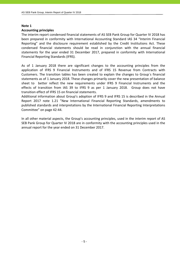#### **Note 1**

#### **Accounting principles**

The interim report condensed financial statements of AS SEB Pank Group for Quarter IV 2018 has been prepared in conformity with International Accounting Standard IAS 34 "Interim Financial Reporting" and the disclosure requirement established by the Credit Institutions Act. These condensed financial statements should be read in conjunction with the annual financial statements for the year ended 31 December 2017, prepared in conformity with International Financial Reporting Standards (IFRS).

As of 1 January 2018 there are significant changes to the accounting principles from the application of IFRS 9 Financial Instruments and of IFRS 15 Revenue from Contracts with Customers. The transition tables has been created to explain the changes to Group`s financial statements as of 1 January 2018. These changes primarily cover the new presentation of balance sheet to better reflect the new requirements under IFRS 9 Financial Instruments and the effects of transition from IAS 39 to IFRS 9 as per 1 January 2018. Group does not have transition effect of IFRS 15 on financial statements.

Additional information about Group's adoption of IFRS 9 and IFRS 15 is described in the Annual Report 2017 note 1.21 "New International Financial Reporting Standards, amendments to published standards and interpretations by the International Financial Reporting Interpretations Committee" on page 42-44.

In all other material aspects, the Group's accounting principles, used in the interim report of AS SEB Pank Group for Quarter IV 2018 are in conformity with the accounting principles used in the annual report for the year ended on 31 December 2017.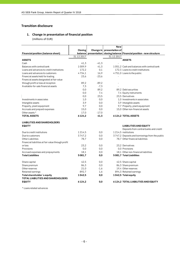#### **Transition disclosure**

### **1. Change in presentation of financial position**

(millions of EUR)

|                                                    |            |         | New                       |                                                                               |
|----------------------------------------------------|------------|---------|---------------------------|-------------------------------------------------------------------------------|
|                                                    | Closing    |         | Change in presentation of |                                                                               |
| <b>Financial position (balance sheet)</b>          |            |         |                           | balance   presentation   closing balance   Financial position - new structure |
|                                                    | 31.12.2017 |         | 31.12.2017                |                                                                               |
| <b>ASSETS</b>                                      |            |         |                           | <b>ASSETS</b>                                                                 |
| Cash                                               | 41,3       | $-41,3$ |                           |                                                                               |
| Balances with central bank                         | 1009,9     | 41,3    |                           | 1051.2 Cash and balances with central bank                                    |
| Loans and advances to credit institutions          | 172,2      | 0,1     |                           | 172,3 Loans to credit institutions                                            |
| Loans and advances to customers                    | 4734.1     | 16,9    |                           | 4751,0 Loans to the public                                                    |
| Financial assets held for trading                  | 23.6       | $-23,6$ |                           |                                                                               |
| Financial assets designated at fair value          |            |         |                           |                                                                               |
| through profit or loss at inception                | 89,2       | $-89.2$ |                           |                                                                               |
| Available-for-sale financial assets                | 7,3        | $-7,3$  |                           |                                                                               |
|                                                    | 0,0        | 89,2    |                           | 89,2 Debt securities                                                          |
|                                                    | 0,0        | 7,4     |                           | 7,4 Equity instruments                                                        |
|                                                    | 0,0        | 23,5    |                           | 23.5 Derivatives                                                              |
| Investments in associates                          | 1,0        | 0,0     |                           | 1.0 Investments in associates                                                 |
| Intangible assets                                  | 3,9        | 0,0     |                           | 3,9 Intangible assets                                                         |
| Property, plant equipment                          | 9,7        | 0,0     |                           | 9,7 Property, plant equipment                                                 |
| Accruals and prepaid expenses                      | 15,0       | 0,0     |                           | 15,0 Other non-financial assets                                               |
| Other assets *                                     | 17,0       | $-17,0$ |                           |                                                                               |
| <b>TOTAL ASSETS</b>                                | 6124,2     | 41,3    |                           | 6124,2 TOTAL ASSETS                                                           |
| <b>LIABILITIES AND SHAREHOLDERS</b>                |            |         |                           |                                                                               |
| <b>EQUITY</b>                                      |            |         |                           | <b>LIABILITIES AND EQUITY</b><br>Deposits from central banks and credit       |
| Due to credit institutions                         | 1214,5     | 0,0     |                           | 1214,5 institutions                                                           |
| Due to customers                                   | 3747.2     | 0,0     |                           | 3747,2 Deposits and borrowings from the public                                |
| Other Liabilities                                  | 78,7       | 0,0     |                           | 78.7 Other financial liabilities                                              |
| Financial liabilities at fair value through profit |            |         |                           |                                                                               |
| or loss                                            | 23.2       | 0,0     |                           | 23.2 Derivatives                                                              |
| Provisions                                         | 0,0        | 0,0     |                           | 0.0 Provisions                                                                |
| Accrued expenses and prepayments                   | 18,1       | 0,0     |                           | 18.1 Other non-financial liabilities                                          |
| <b>Total Liabilities</b>                           | 5081.7     | 0,0     |                           | 5081,7 Total Liabilities                                                      |
|                                                    |            |         |                           |                                                                               |
| Share capital                                      | 42,5       | 0,0     |                           | 42,5 Share capital                                                            |
| Share premium                                      | 86,3       | 0,0     |                           | 86,3 Share premium                                                            |
| Other reserves                                     | 21,0       | $-1,6$  |                           | 19,4 Other reserves                                                           |
| Retained earnings                                  | 892,7      | 1,6     |                           | 894,3 Retained earnings                                                       |
| Total shareholder's equity                         | 1042,5     | 0,0     |                           | 1042,5 Totalequity                                                            |
| <b>TOTAL LIABILITIES AND SHAREHOLDERS</b>          |            |         |                           |                                                                               |
| <b>EQUITY</b>                                      | 6124,2     | 0,0     |                           | <b>6124.2 TOTAL LIABILITIES AND EQUITY</b>                                    |

\* Loans related advances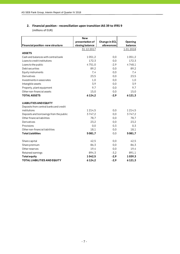# **2. Financial position - reconciliation upon transition IAS 39 to IFRS 9**

(millions of EUR)

|                                         | <b>New</b>      |                      |             |
|-----------------------------------------|-----------------|----------------------|-------------|
|                                         | presentation of | <b>Change in ECL</b> | Opening     |
| Financial position -new structure       | closing balance | allowances           | balance     |
|                                         | 31.12.2017      |                      | 1.01.2018   |
| <b>ASSETS</b>                           |                 |                      |             |
| Cash and balances with central bank     | 1051,2          | 0,0                  | 1051,2      |
| Loans to credit institutions            | 172,3           | 0,0                  | 172,3       |
| Loans to the public                     | 4751,0          | $-2,9$               | 4748,1      |
| Debt securities                         | 89,2            | 0,0                  | 89,2        |
| Equity instruments                      | 7,4             | 0,0                  | 7,4         |
| Derivatives                             | 23,5            | 0,0                  | 23,5        |
| Investments in associates               | 1,0             | 0,0                  | 1,0         |
| Intangible assets                       | 3,9             | 0,0                  | 3,9         |
| Property, plant equipment               | 9,7             | 0,0                  | 9,7         |
| Other non-financial assets              | 15,0            | 0,0                  | 15,0        |
| <b>TOTAL ASSETS</b>                     | 6 1 2 4, 2      | $-2,9$               | 6 1 2 1 , 3 |
| <b>LIABILITIES AND EQUITY</b>           |                 |                      |             |
| Deposits from central banks and credit  |                 |                      |             |
| institutions                            | 1214,5          | 0,0                  | 1214,5      |
| Deposits and borrowings from the public | 3747,2          | 0,0                  | 3747,2      |
| Other financial liabilities             | 78,7            | 0,0                  | 78,7        |
| Derivatives                             | 23,2            | 0,0                  | 23,2        |
| Provisions                              | 0,0             | 0,3                  | 0,3         |
| Other non-financial liabilities         | 18,1            | 0,0                  | 18,1        |
| <b>Total Liabilities</b>                | 5081,7          | 0,0                  | 5081,7      |
| Share capital                           | 42,5            | 0,0                  | 42,5        |
| Share premium                           | 86,3            | 0,0                  | 86,3        |
| Other reserves                          | 19,4            | 0,0                  | 19,4        |
| Retained earnings                       | 894,3           | $-3,2$               | 891,1       |
| <b>Total equity</b>                     | 1042,5          | $-2,9$               | 1039,3      |
| <b>TOTAL LIABILITIES AND EQUITY</b>     | 6 1 2 4 , 2     | $-2,9$               | 6 1 2 1 , 3 |